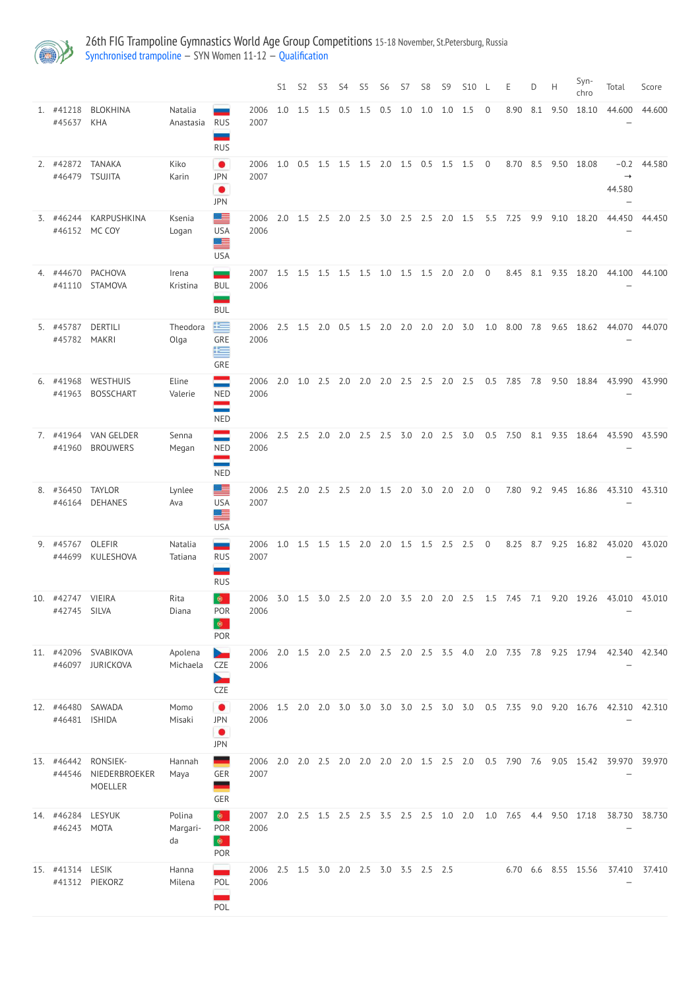

26th FIG Trampoline Gymnastics World Age Group Competitions 15-18 November, St.Petersburg, Russia [Synchronised](http://192.168.1.10:9001/event/SYN) trampoline — SYN Women 11-12 — [Qualification](http://192.168.1.10:9001/stages/67)

|                            |                                  |                      |                                                      |                                                        | S1  | S <sub>2</sub>                          | S <sub>3</sub> | S4        | S <sub>5</sub> | S <sub>6</sub> | S7        | S <sub>8</sub>  | S <sub>9</sub> | <b>S10</b>                                |                | Ε    | D   | Н    | Syn-<br>chro | Total                                                                              | Score  |
|----------------------------|----------------------------------|----------------------|------------------------------------------------------|--------------------------------------------------------|-----|-----------------------------------------|----------------|-----------|----------------|----------------|-----------|-----------------|----------------|-------------------------------------------|----------------|------|-----|------|--------------|------------------------------------------------------------------------------------|--------|
| 1. #41218<br>#45637        | <b>BLOKHINA</b><br><b>KHA</b>    | Natalia<br>Anastasia | <b>RUS</b><br><b>RUS</b>                             | 2006<br>2007                                           | 1.0 | 1.5                                     | 1.5            | 0.5       | 1.5            | 0.5            | 1.0       | 1.0             | 1.0            | 1.5                                       | $\overline{0}$ | 8.90 | 8.1 | 9.50 | 18.10        | 44.600                                                                             | 44.600 |
| 2. #42872<br>#46479        | <b>TANAKA</b><br><b>TSUJITA</b>  | Kiko<br>Karin        | $\bullet$<br><b>JPN</b><br>$\bullet$<br><b>JPN</b>   | 2006<br>2007                                           | 1.0 | $0.5$ 1.5                               |                | $1.5$ 1.5 |                |                |           | 2.0 1.5 0.5 1.5 |                | 1.5                                       | $\overline{0}$ | 8.70 | 8.5 | 9.50 | 18.08        | $-0.2$<br>44.580                                                                   | 44.580 |
| 3. #46244<br>#46152        | KARPUSHKINA<br>MC COY            | Ksenia<br>Logan      | 트<br><b>USA</b><br><u>se</u><br><b>USA</b>           | 2006<br>2006                                           | 2.0 | 1.5                                     | 2.5            | 2.0       | 2.5            | 3.0            | 2.5       | 2.5             | 2.0            | 1.5                                       | 5.5            | 7.25 | 9.9 | 9.10 | 18.20        | 44.450                                                                             | 44.450 |
| 4. #44670<br>#41110        | <b>PACHOVA</b><br><b>STAMOVA</b> | Irena<br>Kristina    | —<br><b>BUL</b><br><b>BUL</b>                        | 2007<br>2006                                           | 1.5 | 1.5                                     | 1.5            | $1.5$ 1.5 |                |                | $1.0$ 1.5 | 1.5             | 2.0            | 2.0                                       | 0              | 8.45 | 8.1 | 9.35 | 18.20        | 44.100                                                                             | 44.100 |
| 5. #45787<br>#45782        | <b>DERTILI</b><br><b>MAKRI</b>   | Theodora<br>Olga     | 写<br>GRE<br>等<br>GRE                                 | 2006<br>2006                                           | 2.5 | 1.5                                     | 2.0            | 0.5       | 1.5            | 2.0            | 2.0       | 2.0             | 2.0            | 3.0                                       | 1.0            | 8.00 | 7.8 | 9.65 | 18.62        | 44.070                                                                             | 44.070 |
| 6. #41968<br>#41963        | WESTHUIS<br><b>BOSSCHART</b>     | Eline<br>Valerie     | <b>NED</b><br>المستورة المناد<br><b>NED</b>          | 2006<br>2006                                           | 2.0 | 1.0                                     | 2.5            | 2.0       | 2.0            | 2.0            | 2.5       | 2.5             | 2.0            | 2.5                                       | 0.5            | 7.85 | 7.8 | 9.50 | 18.84        | 43.990                                                                             | 43.990 |
| 7. #41964<br>#41960        | VAN GELDER<br><b>BROUWERS</b>    | Senna<br>Megan       | <b>NED</b><br><b>NED</b>                             | 2006<br>2006                                           | 2.5 | 2.5                                     | 2.0            | 2.0       | 2.5            | 2.5            | 3.0       | 2.0             | 2.5            | 3.0                                       | 0.5            | 7.50 | 8.1 | 9.35 | 18.64        | 43.590                                                                             | 43.590 |
| 8. #36450                  | <b>TAYLOR</b><br>#46164 DEHANES  | Lynlee<br>Ava        | 트<br><b>USA</b><br>르<br><b>USA</b>                   | 2006 2.5 2.0 2.5 2.5 2.0 1.5 2.0 3.0 2.0 2.0 0<br>2007 |     |                                         |                |           |                |                |           |                 |                |                                           |                |      |     |      |              | 7.80 9.2 9.45 16.86 43.310 43.310                                                  |        |
| 9. #45767<br>#44699        | OLEFIR<br>KULESHOVA              | Natalia<br>Tatiana   | $\overline{\phantom{a}}$<br><b>RUS</b><br><b>RUS</b> | 2006<br>2007                                           |     |                                         |                |           |                |                |           |                 |                | 1.0 1.5 1.5 1.5 2.0 2.0 1.5 1.5 2.5 2.5 0 |                |      |     |      |              | 8.25 8.7 9.25 16.82 43.020 43.020                                                  |        |
| 10. #42747<br>#42745 SILVA | <b>VIEIRA</b>                    | Rita<br>Diana        | $\bullet$<br>POR<br>$\bullet$<br>POR                 | 2006                                                   |     |                                         |                |           |                |                |           |                 |                |                                           |                |      |     |      |              | 2006 3.0 1.5 3.0 2.5 2.0 2.0 3.5 2.0 2.0 2.5 1.5 7.45 7.1 9.20 19.26 43.010 43.010 |        |
| 11. #42096                 | SVABIKOVA<br>#46097 JURICKOVA    | Apolena<br>Michaela  | CZE<br><b>CZE</b>                                    | 2006<br>2006                                           |     | 2.0 1.5 2.0 2.5 2.0 2.5 2.0 2.5 3.5 4.0 |                |           |                |                |           |                 |                |                                           |                |      |     |      |              | 2.0 7.35 7.8 9.25 17.94 42.340 42.340                                              |        |
| 12. #46480<br>#46481       | SAWADA<br><b>ISHIDA</b>          | Momo<br>Misaki       | $\bullet$<br><b>JPN</b><br>$\bullet$<br><b>JPN</b>   | 2006<br>2006                                           |     | 1.5 2.0 2.0 3.0 3.0 3.0 3.0 2.5 3.0 3.0 |                |           |                |                |           |                 |                |                                           |                |      |     |      |              | 0.5 7.35 9.0 9.20 16.76 42.310 42.310                                              |        |

| 13. | #46442<br>#44546                 | RONSIEK-<br>NIEDERBROEKER<br><b>MOELLER</b> | Hannah<br>Maya           | <b>GER</b><br><b>GER</b>                   | 2006<br>2007 | 2.0 | 2.0                                 | 2.5 | 2.0 | 2.0 | 2.0 | 2.0 | 1.5 | 2.5 | 2.0 | 0.5 | 7.90 | 7.6 | 9.05 | 15.42      | 39.970 | 39.970 |
|-----|----------------------------------|---------------------------------------------|--------------------------|--------------------------------------------|--------------|-----|-------------------------------------|-----|-----|-----|-----|-----|-----|-----|-----|-----|------|-----|------|------------|--------|--------|
|     | 14. #46284 LESYUK<br>#46243 MOTA |                                             | Polina<br>Margari-<br>da | $\bullet$<br><b>POR</b><br>⊕<br><b>POR</b> | 2007<br>2006 | 2.0 | 2.5 1.5 2.5 2.5 3.5 2.5 2.5 1.0     |     |     |     |     |     |     |     | 2.0 | 1.0 | 7.65 | 4.4 | 9.50 | 17.18      | 38.730 | 38.730 |
|     | 15. #41314 LESIK<br>#41312       | PIEKORZ                                     | Hanna<br>Milena          | POL<br>POL                                 | 2006<br>2006 |     | 2.5 1.5 3.0 2.0 2.5 3.0 3.5 2.5 2.5 |     |     |     |     |     |     |     |     |     | 6.70 | 6.6 |      | 8.55 15.56 | 37.410 | 37.410 |